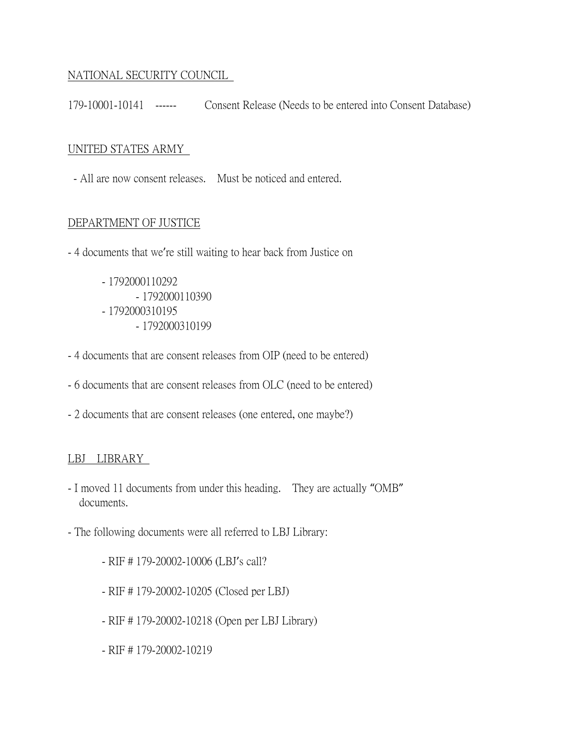### NATIONAL SECURITY COUNCIL

179-10001-10141 ------ Consent Release (Needs to be entered into Consent Database)

### UNITED STATES ARMY

- All are now consent releases. Must be noticed and entered.

### DEPARTMENT OF JUSTICE

- 4 documents that we're still waiting to hear back from Justice on

- 1792000110292 - 1792000110390 - 1792000310195 - 1792000310199
- 4 documents that are consent releases from OIP (need to be entered)
- 6 documents that are consent releases from OLC (need to be entered)
- 2 documents that are consent releases (one entered, one maybe?)

### LBJ LIBRARY

- I moved 11 documents from under this heading. They are actually "OMB" documents.
- The following documents were all referred to LBJ Library:
	- RIF # 179-20002-10006 (LBJ's call?
	- RIF # 179-20002-10205 (Closed per LBJ)
	- RIF # 179-20002-10218 (Open per LBJ Library)
	- RIF # 179-20002-10219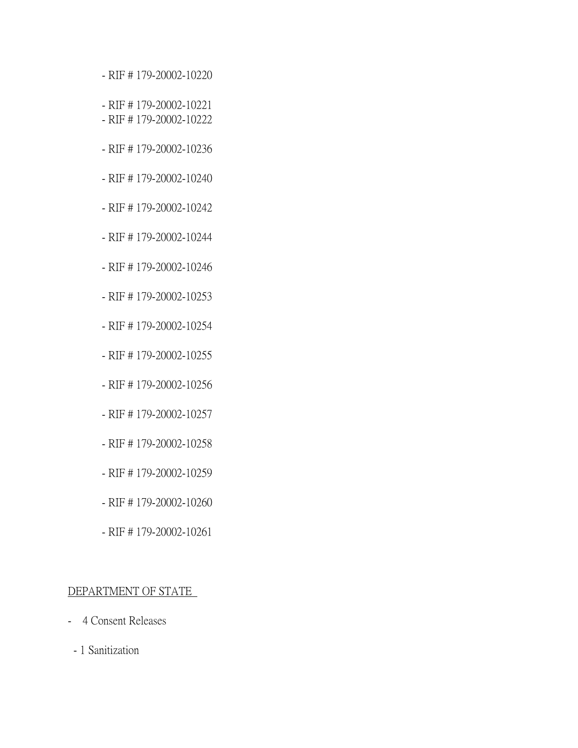- RIF # 179-20002-10220
- RIF # 179-20002-10221
- RIF # 179-20002-10222
- RIF # 179-20002-10236
- RIF # 179-20002-10240
- RIF # 179-20002-10242
- RIF # 179-20002-10244
- RIF # 179-20002-10246
- RIF # 179-20002-10253
- RIF # 179-20002-10254
- RIF # 179-20002-10255
- RIF # 179-20002-10256
- RIF # 179-20002-10257
- RIF # 179-20002-10258
- RIF # 179-20002-10259
- RIF # 179-20002-10260
- RIF # 179-20002-10261

#### DEPARTMENT OF STATE

- 4 Consent Releases
- 1 Sanitization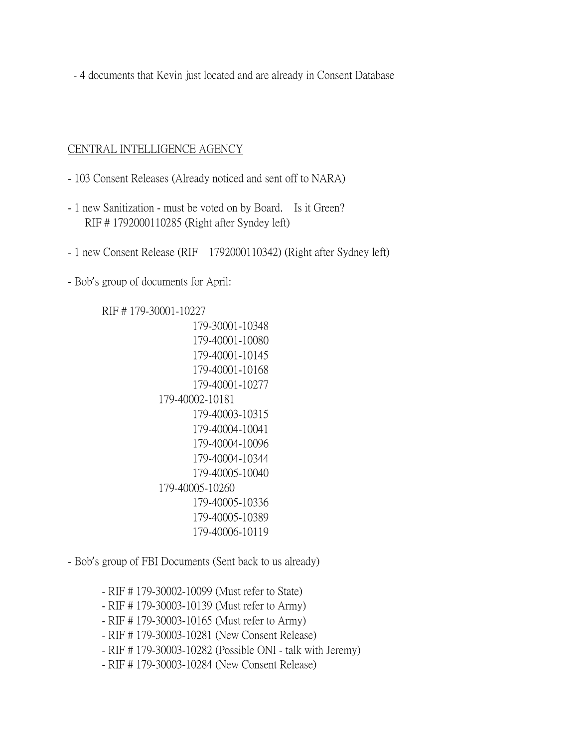- 4 documents that Kevin just located and are already in Consent Database

#### CENTRAL INTELLIGENCE AGENCY

- 103 Consent Releases (Already noticed and sent off to NARA)
- 1 new Sanitization must be voted on by Board. Is it Green? RIF # 1792000110285 (Right after Syndey left)
- 1 new Consent Release (RIF 1792000110342) (Right after Sydney left)

- Bob's group of documents for April:

RIF # 179-30001-10227

 179-30001-10348 179-40001-10080 179-40001-10145 179-40001-10168 179-40001-10277 179-40002-10181 179-40003-10315 179-40004-10041 179-40004-10096 179-40004-10344 179-40005-10040 179-40005-10260 179-40005-10336 179-40005-10389 179-40006-10119

- Bob's group of FBI Documents (Sent back to us already)

- RIF # 179-30002-10099 (Must refer to State)

- RIF # 179-30003-10139 (Must refer to Army)

- RIF # 179-30003-10165 (Must refer to Army)

- RIF # 179-30003-10281 (New Consent Release)

- RIF # 179-30003-10282 (Possible ONI - talk with Jeremy)

- RIF # 179-30003-10284 (New Consent Release)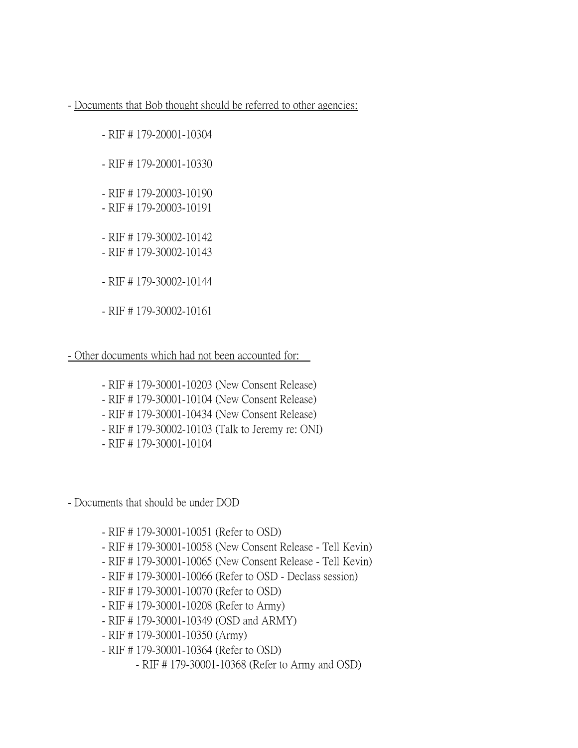- Documents that Bob thought should be referred to other agencies:

- RIF # 179-20001-10304

- RIF # 179-20001-10330

- RIF # 179-20003-10190

- RIF # 179-20003-10191

- RIF # 179-30002-10142

- RIF # 179-30002-10143

- RIF # 179-30002-10144

- RIF # 179-30002-10161

- Other documents which had not been accounted for:

- RIF # 179-30001-10203 (New Consent Release)

- RIF # 179-30001-10104 (New Consent Release)

- RIF # 179-30001-10434 (New Consent Release)

- RIF # 179-30002-10103 (Talk to Jeremy re: ONI)

- RIF # 179-30001-10104

- Documents that should be under DOD

- RIF # 179-30001-10051 (Refer to OSD)

- RIF # 179-30001-10058 (New Consent Release - Tell Kevin)

- RIF # 179-30001-10065 (New Consent Release - Tell Kevin)

- RIF # 179-30001-10066 (Refer to OSD - Declass session)

- RIF # 179-30001-10070 (Refer to OSD)

- RIF # 179-30001-10208 (Refer to Army)

- RIF # 179-30001-10349 (OSD and ARMY)

- RIF # 179-30001-10350 (Army)

- RIF # 179-30001-10364 (Refer to OSD)

- RIF # 179-30001-10368 (Refer to Army and OSD)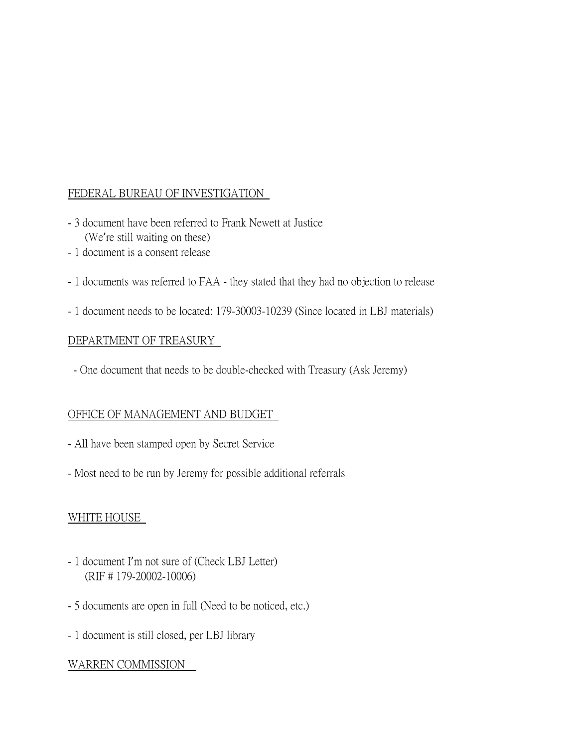## FEDERAL BUREAU OF INVESTIGATION

- 3 document have been referred to Frank Newett at Justice (We're still waiting on these)
- 1 document is a consent release
- 1 documents was referred to FAA they stated that they had no objection to release
- 1 document needs to be located: 179-30003-10239 (Since located in LBJ materials)

### DEPARTMENT OF TREASURY

- One document that needs to be double-checked with Treasury (Ask Jeremy)

### OFFICE OF MANAGEMENT AND BUDGET

- All have been stamped open by Secret Service
- Most need to be run by Jeremy for possible additional referrals

## WHITE HOUSE

- 1 document I'm not sure of (Check LBJ Letter) (RIF # 179-20002-10006)
- 5 documents are open in full (Need to be noticed, etc.)
- 1 document is still closed, per LBJ library

## WARREN COMMISSION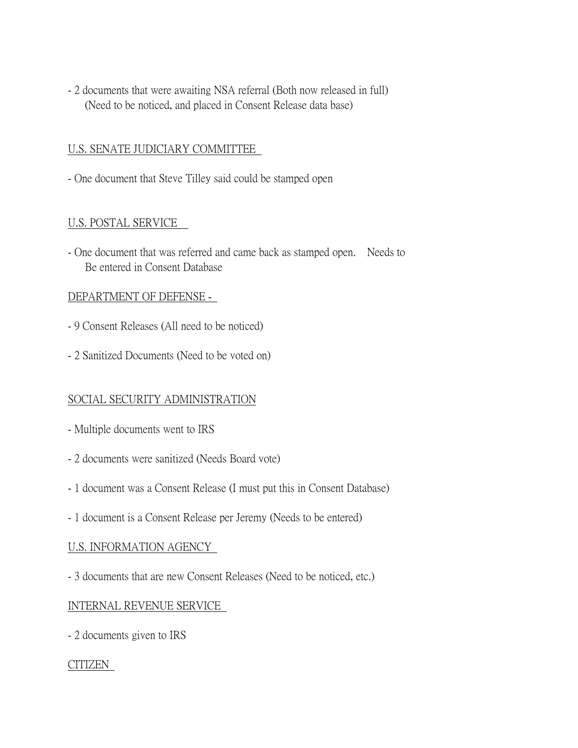- 2 documents that were awaiting NSA referral (Both now released in full) (Need to be noticed, and placed in Consent Release data base)

### U.S. SENATE JUDICIARY COMMITTEE

- One document that Steve Tilley said could be stamped open

### U.S. POSTAL SERVICE

- One document that was referred and came back as stamped open. Needs to Be entered in Consent Database

### DEPARTMENT OF DEFENSE -

- 9 Consent Releases (All need to be noticed)
- 2 Sanitized Documents (Need to be voted on)

### SOCIAL SECURITY ADMINISTRATION

- Multiple documents went to IRS
- 2 documents were sanitized (Needs Board vote)
- 1 document was a Consent Release (I must put this in Consent Database)
- 1 document is a Consent Release per Jeremy (Needs to be entered)

### U.S. INFORMATION AGENCY

- 3 documents that are new Consent Releases (Need to be noticed, etc.)

### INTERNAL REVENUE SERVICE

- 2 documents given to IRS

### CITIZEN